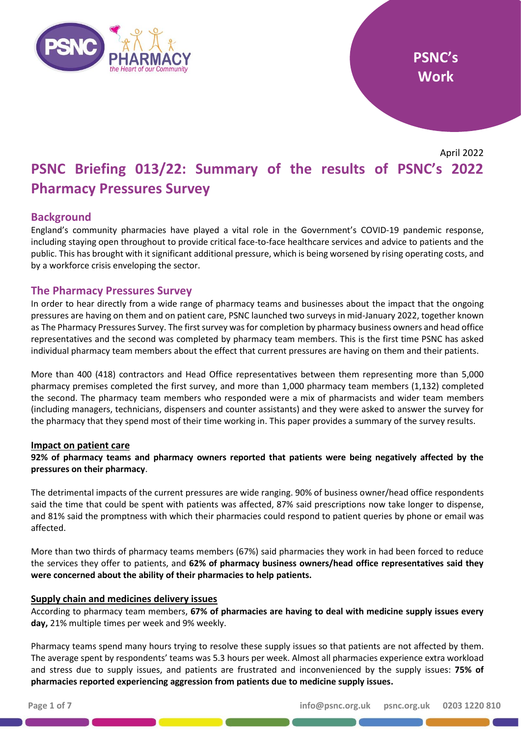

April 2022

# **PSNC Briefing 013/22: Summary of the results of PSNC's 2022 Pharmacy Pressures Survey**

# **Background**

England's community pharmacies have played a vital role in the Government's COVID-19 pandemic response, including staying open throughout to provide critical face-to-face healthcare services and advice to patients and the public. This has brought with it significant additional pressure, which is being worsened by rising operating costs, and by a workforce crisis enveloping the sector.

# **The Pharmacy Pressures Survey**

In order to hear directly from a wide range of pharmacy teams and businesses about the impact that the ongoing pressures are having on them and on patient care, PSNC launched two surveys in mid-January 2022, together known as The Pharmacy Pressures Survey. The first survey was for completion by pharmacy business owners and head office representatives and the second was completed by pharmacy team members. This is the first time PSNC has asked individual pharmacy team members about the effect that current pressures are having on them and their patients.

More than 400 (418) contractors and Head Office representatives between them representing more than 5,000 pharmacy premises completed the first survey, and more than 1,000 pharmacy team members (1,132) completed the second. The pharmacy team members who responded were a mix of pharmacists and wider team members (including managers, technicians, dispensers and counter assistants) and they were asked to answer the survey for the pharmacy that they spend most of their time working in. This paper provides a summary of the survey results.

#### **Impact on patient care**

**92% of pharmacy teams and pharmacy owners reported that patients were being negatively affected by the pressures on their pharmacy**.

The detrimental impacts of the current pressures are wide ranging. 90% of business owner/head office respondents said the time that could be spent with patients was affected, 87% said prescriptions now take longer to dispense, and 81% said the promptness with which their pharmacies could respond to patient queries by phone or email was affected.

More than two thirds of pharmacy teams members (67%) said pharmacies they work in had been forced to reduce the services they offer to patients, and **62% of pharmacy business owners/head office representatives said they were concerned about the ability of their pharmacies to help patients.**

#### **Supply chain and medicines delivery issues**

According to pharmacy team members, **67% of pharmacies are having to deal with medicine supply issues every day,** 21% multiple times per week and 9% weekly.

Pharmacy teams spend many hours trying to resolve these supply issues so that patients are not affected by them. The average spent by respondents' teams was 5.3 hours per week. Almost all pharmacies experience extra workload and stress due to supply issues, and patients are frustrated and inconvenienced by the supply issues: **75% of pharmacies reported experiencing aggression from patients due to medicine supply issues.**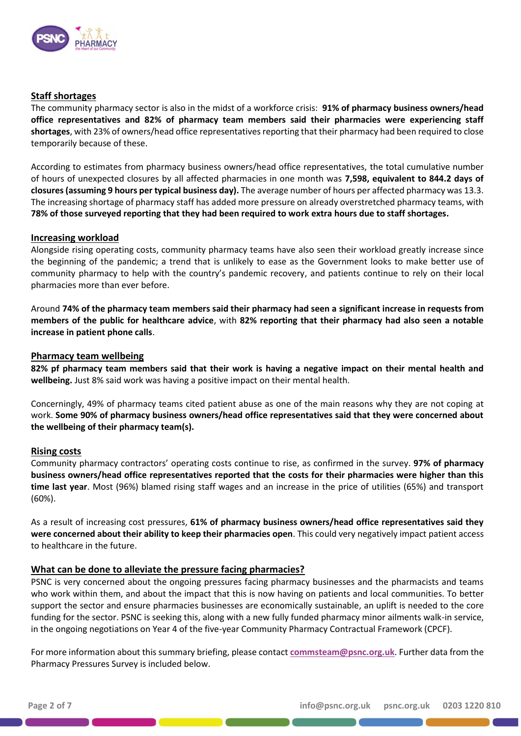

## **Staff shortages**

The community pharmacy sector is also in the midst of a workforce crisis: **91% of pharmacy business owners/head office representatives and 82% of pharmacy team members said their pharmacies were experiencing staff shortages**, with 23% of owners/head office representatives reporting that their pharmacy had been required to close temporarily because of these.

According to estimates from pharmacy business owners/head office representatives, the total cumulative number of hours of unexpected closures by all affected pharmacies in one month was **7,598, equivalent to 844.2 days of closures (assuming 9 hours per typical business day).** The average number of hours per affected pharmacy was 13.3. The increasing shortage of pharmacy staff has added more pressure on already overstretched pharmacy teams, with **78% of those surveyed reporting that they had been required to work extra hours due to staff shortages.**

#### **Increasing workload**

Alongside rising operating costs, community pharmacy teams have also seen their workload greatly increase since the beginning of the pandemic; a trend that is unlikely to ease as the Government looks to make better use of community pharmacy to help with the country's pandemic recovery, and patients continue to rely on their local pharmacies more than ever before.

Around **74% of the pharmacy team members said their pharmacy had seen a significant increase in requests from members of the public for healthcare advice**, with **82% reporting that their pharmacy had also seen a notable increase in patient phone calls**.

#### **Pharmacy team wellbeing**

**82% pf pharmacy team members said that their work is having a negative impact on their mental health and wellbeing.** Just 8% said work was having a positive impact on their mental health.

Concerningly, 49% of pharmacy teams cited patient abuse as one of the main reasons why they are not coping at work. **Some 90% of pharmacy business owners/head office representatives said that they were concerned about the wellbeing of their pharmacy team(s).**

#### **Rising costs**

Community pharmacy contractors' operating costs continue to rise, as confirmed in the survey. **97% of pharmacy business owners/head office representatives reported that the costs for their pharmacies were higher than this time last year**. Most (96%) blamed rising staff wages and an increase in the price of utilities (65%) and transport (60%).

As a result of increasing cost pressures, **61% of pharmacy business owners/head office representatives said they were concerned about their ability to keep their pharmacies open**. This could very negatively impact patient access to healthcare in the future.

#### **What can be done to alleviate the pressure facing pharmacies?**

PSNC is very concerned about the ongoing pressures facing pharmacy businesses and the pharmacists and teams who work within them, and about the impact that this is now having on patients and local communities. To better support the sector and ensure pharmacies businesses are economically sustainable, an uplift is needed to the core funding for the sector. PSNC is seeking this, along with a new fully funded pharmacy minor ailments walk-in service, in the ongoing negotiations on Year 4 of the five-year Community Pharmacy Contractual Framework (CPCF).

For more information about this summary briefing, please contact **[commsteam@psnc.org.uk](mailto:commsteam@psnc.org.uk)**. Further data from the Pharmacy Pressures Survey is included below.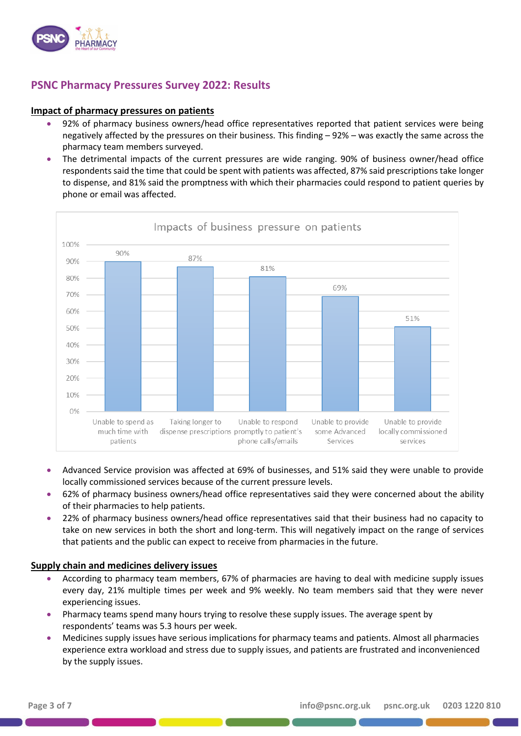

# **PSNC Pharmacy Pressures Survey 2022: Results**

#### **Impact of pharmacy pressures on patients**

- 92% of pharmacy business owners/head office representatives reported that patient services were being negatively affected by the pressures on their business. This finding – 92% – was exactly the same across the pharmacy team members surveyed.
- The detrimental impacts of the current pressures are wide ranging. 90% of business owner/head office respondents said the time that could be spent with patients was affected, 87% said prescriptions take longer to dispense, and 81% said the promptness with which their pharmacies could respond to patient queries by phone or email was affected.



- Advanced Service provision was affected at 69% of businesses, and 51% said they were unable to provide locally commissioned services because of the current pressure levels.
- 62% of pharmacy business owners/head office representatives said they were concerned about the ability of their pharmacies to help patients.
- 22% of pharmacy business owners/head office representatives said that their business had no capacity to take on new services in both the short and long-term. This will negatively impact on the range of services that patients and the public can expect to receive from pharmacies in the future.

#### **Supply chain and medicines delivery issues**

- According to pharmacy team members, 67% of pharmacies are having to deal with medicine supply issues every day, 21% multiple times per week and 9% weekly. No team members said that they were never experiencing issues.
- Pharmacy teams spend many hours trying to resolve these supply issues. The average spent by respondents' teams was 5.3 hours per week.
- Medicines supply issues have serious implications for pharmacy teams and patients. Almost all pharmacies experience extra workload and stress due to supply issues, and patients are frustrated and inconvenienced by the supply issues.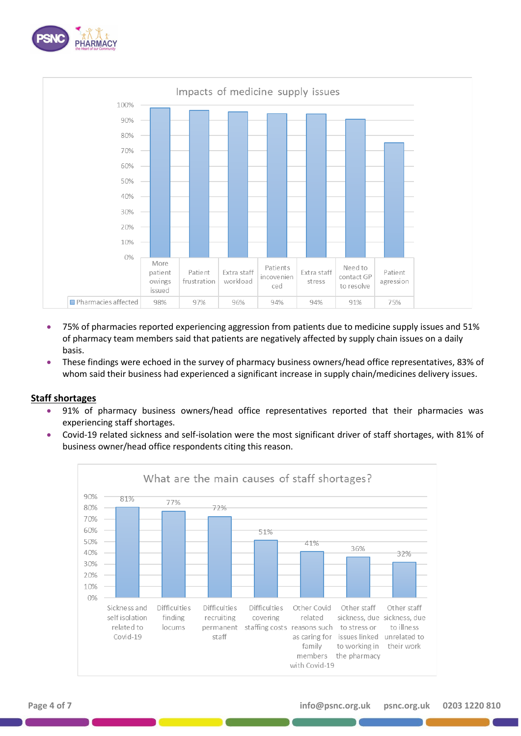



- 75% of pharmacies reported experiencing aggression from patients due to medicine supply issues and 51% of pharmacy team members said that patients are negatively affected by supply chain issues on a daily basis.
- These findings were echoed in the survey of pharmacy business owners/head office representatives, 83% of whom said their business had experienced a significant increase in supply chain/medicines delivery issues.

#### **Staff shortages**

- 91% of pharmacy business owners/head office representatives reported that their pharmacies was experiencing staff shortages.
- Covid-19 related sickness and self-isolation were the most significant driver of staff shortages, with 81% of business owner/head office respondents citing this reason.

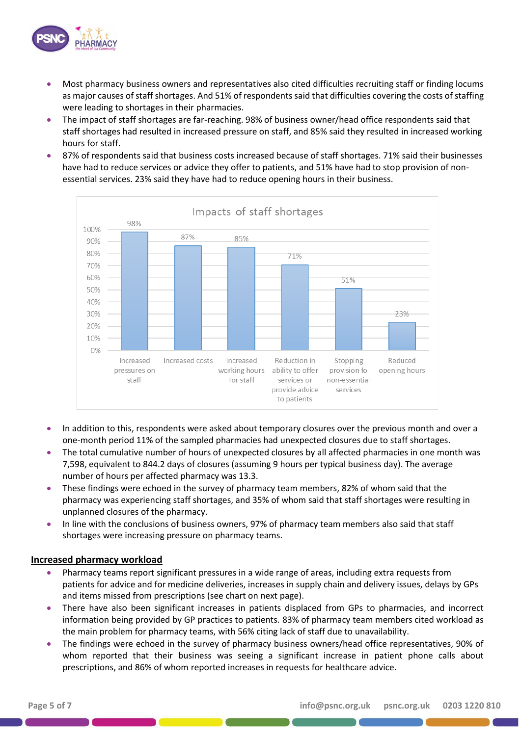

- Most pharmacy business owners and representatives also cited difficulties recruiting staff or finding locums as major causes of staff shortages. And 51% of respondents said that difficulties covering the costs of staffing were leading to shortages in their pharmacies.
- The impact of staff shortages are far-reaching. 98% of business owner/head office respondents said that staff shortages had resulted in increased pressure on staff, and 85% said they resulted in increased working hours for staff.
- 87% of respondents said that business costs increased because of staff shortages. 71% said their businesses have had to reduce services or advice they offer to patients, and 51% have had to stop provision of nonessential services. 23% said they have had to reduce opening hours in their business.



- In addition to this, respondents were asked about temporary closures over the previous month and over a one-month period 11% of the sampled pharmacies had unexpected closures due to staff shortages.
- The total cumulative number of hours of unexpected closures by all affected pharmacies in one month was 7,598, equivalent to 844.2 days of closures (assuming 9 hours per typical business day). The average number of hours per affected pharmacy was 13.3.
- These findings were echoed in the survey of pharmacy team members, 82% of whom said that the pharmacy was experiencing staff shortages, and 35% of whom said that staff shortages were resulting in unplanned closures of the pharmacy.
- In line with the conclusions of business owners, 97% of pharmacy team members also said that staff shortages were increasing pressure on pharmacy teams.

# **Increased pharmacy workload**

- Pharmacy teams report significant pressures in a wide range of areas, including extra requests from patients for advice and for medicine deliveries, increases in supply chain and delivery issues, delays by GPs and items missed from prescriptions (see chart on next page).
- There have also been significant increases in patients displaced from GPs to pharmacies, and incorrect information being provided by GP practices to patients. 83% of pharmacy team members cited workload as the main problem for pharmacy teams, with 56% citing lack of staff due to unavailability.
- The findings were echoed in the survey of pharmacy business owners/head office representatives, 90% of whom reported that their business was seeing a significant increase in patient phone calls about prescriptions, and 86% of whom reported increases in requests for healthcare advice.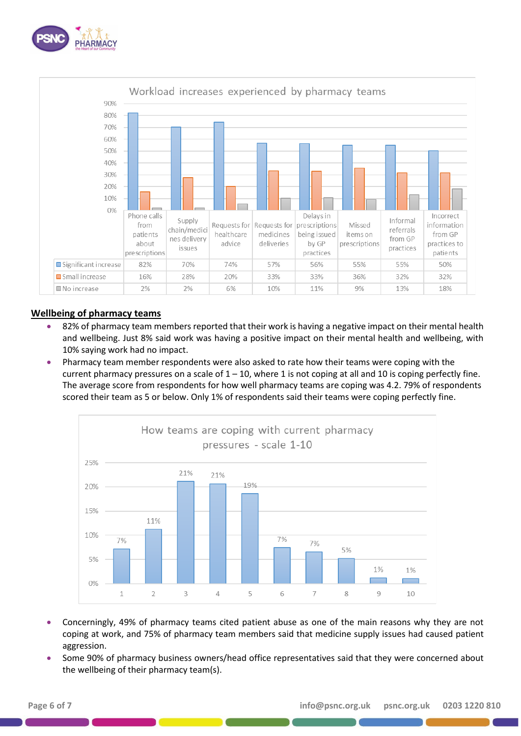



#### **Wellbeing of pharmacy teams**

- 82% of pharmacy team members reported that their work is having a negative impact on their mental health and wellbeing. Just 8% said work was having a positive impact on their mental health and wellbeing, with 10% saying work had no impact.
- Pharmacy team member respondents were also asked to rate how their teams were coping with the current pharmacy pressures on a scale of  $1 - 10$ , where 1 is not coping at all and 10 is coping perfectly fine. The average score from respondents for how well pharmacy teams are coping was 4.2. 79% of respondents scored their team as 5 or below. Only 1% of respondents said their teams were coping perfectly fine.



- Concerningly, 49% of pharmacy teams cited patient abuse as one of the main reasons why they are not coping at work, and 75% of pharmacy team members said that medicine supply issues had caused patient aggression.
- Some 90% of pharmacy business owners/head office representatives said that they were concerned about the wellbeing of their pharmacy team(s).